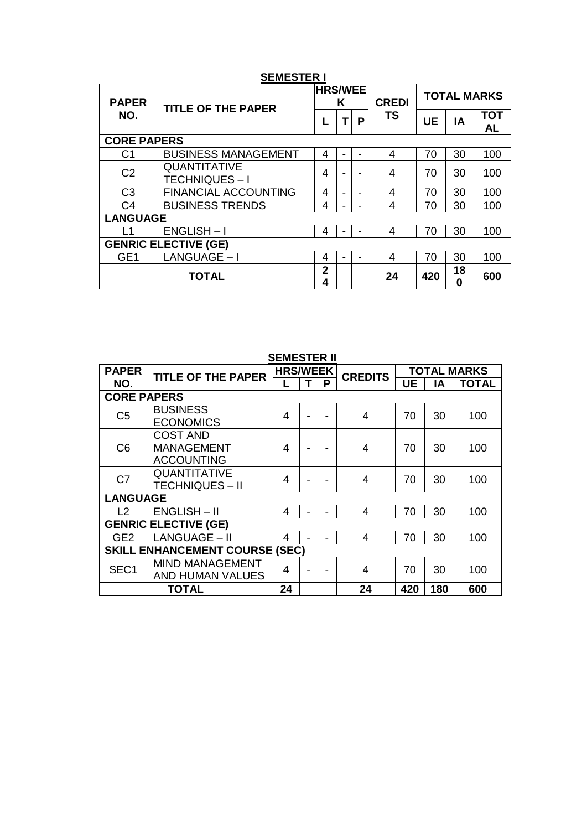| <b>PAPER</b><br>NO. | <b>TITLE OF THE PAPER</b>                  | <b>HRS/WEE</b><br>K |   |   | <b>CREDI</b> | <b>TOTAL MARKS</b> |         |                         |  |
|---------------------|--------------------------------------------|---------------------|---|---|--------------|--------------------|---------|-------------------------|--|
|                     |                                            |                     | т | P | <b>TS</b>    | <b>UE</b>          | ΙA      | <b>TOT</b><br><b>AL</b> |  |
|                     | <b>CORE PAPERS</b>                         |                     |   |   |              |                    |         |                         |  |
| C <sub>1</sub>      | <b>BUSINESS MANAGEMENT</b>                 | 4                   | - | - | 4            | 70                 | 30      | 100                     |  |
| C <sub>2</sub>      | <b>QUANTITATIVE</b><br><b>TECHNIQUES-I</b> | 4                   |   |   | 4            | 70                 | 30      | 100                     |  |
| C <sub>3</sub>      | <b>FINANCIAL ACCOUNTING</b>                | 4                   | - |   | 4            | 70                 | 30      | 100                     |  |
| C <sub>4</sub>      | <b>BUSINESS TRENDS</b>                     | 4                   | ۰ | - | 4            | 70                 | 30      | 100                     |  |
| <b>LANGUAGE</b>     |                                            |                     |   |   |              |                    |         |                         |  |
| L1                  | $ENGLISH-I$                                | 4                   |   |   | 4            | 70                 | 30      | 100                     |  |
|                     | <b>GENRIC ELECTIVE (GE)</b>                |                     |   |   |              |                    |         |                         |  |
| GE <sub>1</sub>     | LANGUAGE - I                               | 4                   |   |   | 4            | 70                 | 30      | 100                     |  |
|                     | <b>TOTAL</b>                               | $\mathbf{2}$<br>4   |   |   | 24           | 420                | 18<br>0 | 600                     |  |

## **SEMESTER I**

|                                       | SEMESTER II                                   |                 |  |   |                |                    |    |              |  |
|---------------------------------------|-----------------------------------------------|-----------------|--|---|----------------|--------------------|----|--------------|--|
| <b>PAPER</b>                          | <b>TITLE OF THE PAPER</b>                     | <b>HRS/WEEK</b> |  |   | <b>CREDITS</b> | <b>TOTAL MARKS</b> |    |              |  |
| NO.                                   |                                               |                 |  | P |                | UE                 | ΙA | <b>TOTAL</b> |  |
|                                       | <b>CORE PAPERS</b>                            |                 |  |   |                |                    |    |              |  |
| C <sub>5</sub>                        | <b>BUSINESS</b>                               | 4               |  |   | 4              | 70                 | 30 | 100          |  |
|                                       | <b>ECONOMICS</b>                              |                 |  |   |                |                    |    |              |  |
|                                       | <b>COST AND</b>                               |                 |  |   |                | 70                 | 30 |              |  |
| C <sub>6</sub>                        | <b>MANAGEMENT</b>                             | 4               |  |   | 4              |                    |    | 100          |  |
|                                       | <b>ACCOUNTING</b>                             |                 |  |   |                |                    |    |              |  |
| C <sub>7</sub>                        | QUANTITATIVE                                  | 4               |  |   | 4              | 70                 | 30 | 100          |  |
|                                       | <b>TECHNIQUES - II</b>                        |                 |  |   |                |                    |    |              |  |
| <b>LANGUAGE</b>                       |                                               |                 |  |   |                |                    |    |              |  |
| 12                                    | $ENGLISH - II$                                | 4               |  |   | 4              | 70                 | 30 | 100          |  |
|                                       | <b>GENRIC ELECTIVE (GE)</b>                   |                 |  |   |                |                    |    |              |  |
| GE2                                   | LANGUAGE - II                                 | 4               |  | - | 4              | 70                 | 30 | 100          |  |
| <b>SKILL ENHANCEMENT COURSE (SEC)</b> |                                               |                 |  |   |                |                    |    |              |  |
| SEC <sub>1</sub>                      | <b>MIND MANAGEMENT</b>                        | 4               |  |   | 4              | 70                 | 30 | 100          |  |
|                                       | AND HUMAN VALUES                              |                 |  |   |                |                    |    |              |  |
|                                       | 24<br>24<br>420<br>180<br>600<br><b>TOTAL</b> |                 |  |   |                |                    |    |              |  |

## **SEMESTER II**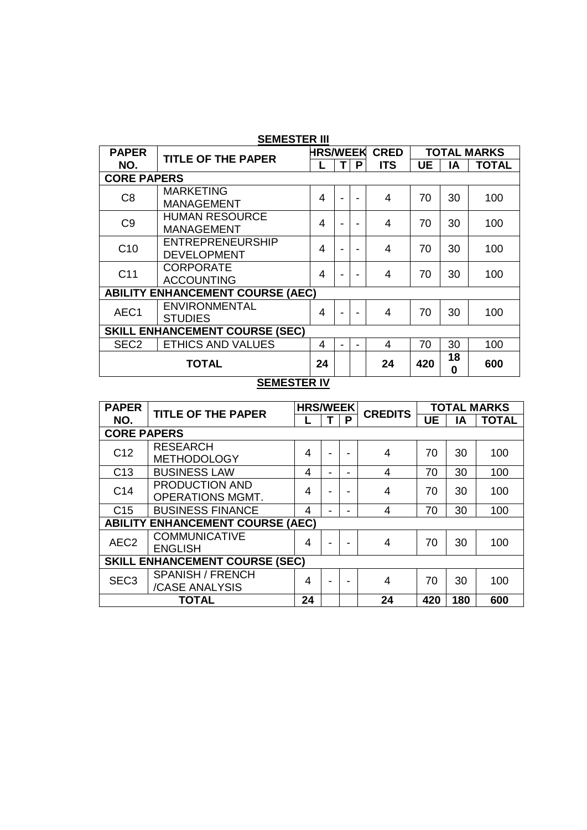| SEMESTER III                                      |                                               |                 |  |   |             |    |                    |              |  |  |
|---------------------------------------------------|-----------------------------------------------|-----------------|--|---|-------------|----|--------------------|--------------|--|--|
| <b>PAPER</b>                                      | <b>TITLE OF THE PAPER</b>                     | <b>HRS/WEEK</b> |  |   | <b>CRED</b> |    | <b>TOTAL MARKS</b> |              |  |  |
| NO.                                               |                                               |                 |  | P | <b>ITS</b>  | UE | ΙA                 | <b>TOTAL</b> |  |  |
| <b>CORE PAPERS</b>                                |                                               |                 |  |   |             |    |                    |              |  |  |
| C8                                                | <b>MARKETING</b><br><b>MANAGEMENT</b>         | 4               |  |   | 4           | 70 | 30                 | 100          |  |  |
| C <sub>9</sub>                                    | <b>HUMAN RESOURCE</b><br><b>MANAGEMENT</b>    | 4               |  |   | 4           | 70 | 30                 | 100          |  |  |
| C <sub>10</sub>                                   | <b>ENTREPRENEURSHIP</b><br><b>DEVELOPMENT</b> | 4               |  |   | 4           | 70 | 30                 | 100          |  |  |
| C <sub>11</sub>                                   | <b>CORPORATE</b><br><b>ACCOUNTING</b>         | 4               |  |   | 4           | 70 | 30                 | 100          |  |  |
|                                                   | <b>ABILITY ENHANCEMENT COURSE (AEC)</b>       |                 |  |   |             |    |                    |              |  |  |
| AEC1                                              | <b>ENVIRONMENTAL</b><br><b>STUDIES</b>        | 4               |  |   | 4           | 70 | 30                 | 100          |  |  |
| <b>SKILL ENHANCEMENT COURSE (SEC)</b>             |                                               |                 |  |   |             |    |                    |              |  |  |
| SEC <sub>2</sub>                                  | <b>ETHICS AND VALUES</b>                      | 4               |  |   | 4           | 70 | 30                 | 100          |  |  |
| 18<br><b>TOTAL</b><br>24<br>600<br>24<br>420<br>0 |                                               |                 |  |   |             |    |                    |              |  |  |
|                                                   | OFMFOTFD IV                                   |                 |  |   |             |    |                    |              |  |  |

# **SEMESTER III**

#### **SEMESTER IV**

| <b>PAPER</b>       | <b>TITLE OF THE PAPER</b>               |    | <b>HRS/WEEK</b>          |   | <b>CREDITS</b> | <b>TOTAL MARKS</b> |     |              |
|--------------------|-----------------------------------------|----|--------------------------|---|----------------|--------------------|-----|--------------|
| NO.                |                                         |    |                          | P |                | <b>UE</b>          | ΙA  | <b>TOTAL</b> |
| <b>CORE PAPERS</b> |                                         |    |                          |   |                |                    |     |              |
| C <sub>12</sub>    | <b>RESEARCH</b>                         | 4  |                          |   | 4              | 70                 | 30  | 100          |
|                    | <b>METHODOLOGY</b>                      |    |                          |   |                |                    |     |              |
| C <sub>13</sub>    | <b>BUSINESS LAW</b>                     | 4  |                          |   | 4              | 70                 | 30  | 100          |
| C <sub>14</sub>    | PRODUCTION AND                          | 4  |                          |   | 4              | 70                 | 30  | 100          |
|                    | <b>OPERATIONS MGMT.</b>                 |    | ٠                        |   |                |                    |     |              |
| C <sub>15</sub>    | <b>BUSINESS FINANCE</b>                 | 4  |                          |   | 4              | 70                 | 30  | 100          |
|                    | <b>ABILITY ENHANCEMENT COURSE (AEC)</b> |    |                          |   |                |                    |     |              |
| AEC <sub>2</sub>   | <b>COMMUNICATIVE</b>                    | 4  | $\overline{\phantom{0}}$ |   | 4              | 70                 | 30  | 100          |
|                    | <b>ENGLISH</b>                          |    |                          |   |                |                    |     |              |
|                    | <b>SKILL ENHANCEMENT COURSE (SEC)</b>   |    |                          |   |                |                    |     |              |
| SEC <sub>3</sub>   | <b>SPANISH / FRENCH</b>                 | 4  | ٠                        |   | 4              | 70                 | 30  | 100          |
|                    | /CASE ANALYSIS                          |    |                          |   |                |                    |     |              |
|                    | <b>TOTAL</b>                            | 24 |                          |   | 24             | 420                | 180 | 600          |